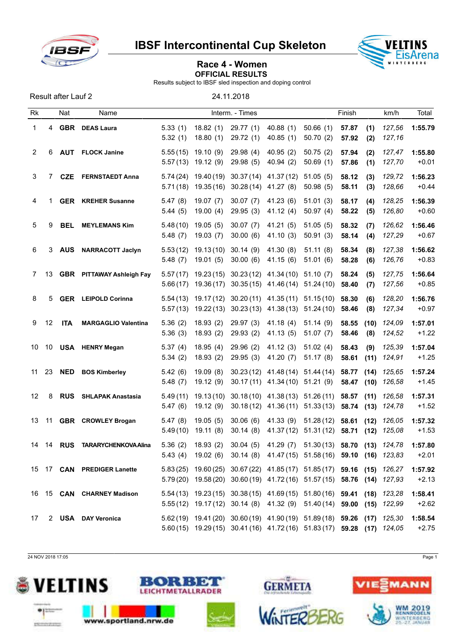

IBSF Intercontinental Cup Skeleton



## Race 4 - Women OFFICIAL RESULTS

Results subject to IBSF sled inspection and doping control

Result after Lauf 2 24.11.2018

| Rk |    | Nat        | Name                             |                      |                          | Interm. - Times      |                                                                                                                                                    |                                     | Finish         |              | km/h             | Total              |
|----|----|------------|----------------------------------|----------------------|--------------------------|----------------------|----------------------------------------------------------------------------------------------------------------------------------------------------|-------------------------------------|----------------|--------------|------------------|--------------------|
| 1  | 4  | <b>GBR</b> | <b>DEAS Laura</b>                | 5.33(1)<br>5.32(1)   | 18.82(1)<br>18.80(1)     | 29.77(1)<br>29.72(1) | 40.88(1)<br>40.85(1)                                                                                                                               | 50.66(1)<br>50.70(2)                | 57.87<br>57.92 | (1)<br>(2)   | 127,56<br>127,16 | 1:55.79            |
| 2  | 6  | <b>AUT</b> | <b>FLOCK Janine</b>              | 5.55(15)<br>5.57(13) | 19.10(9)<br>19.12(9)     | 29.98(4)<br>29.98(5) | 40.95(2)<br>40.94(2)                                                                                                                               | 50.75(2)<br>50.69(1)                | 57.94<br>57.86 | (2)<br>(1)   | 127,47<br>127,70 | 1:55.80<br>$+0.01$ |
| 3  | 7  | <b>CZE</b> | <b>FERNSTAEDT Anna</b>           | 5.74(24)<br>5.71(18) | 19.40 (19)<br>19.35(16)  | 30.28 (14) 41.27 (8) | 30.37 (14) 41.37 (12)                                                                                                                              | 51.05(5)<br>50.98(5)                | 58.12<br>58.11 | (3)<br>(3)   | 129,72<br>128,66 | 1:56.23<br>$+0.44$ |
| 4  | 1  |            | <b>GER</b> KREHER Susanne        | 5.47(8)<br>5.44(5)   | 19.07(7)<br>19.00(4)     | 30.07(7)<br>29.95(3) | 41.23(6)<br>41.12(4)                                                                                                                               | 51.01(3)<br>50.97(4)                | 58.17<br>58.22 | (4)<br>(5)   | 128,25<br>126,80 | 1:56.39<br>$+0.60$ |
| 5  | 9  | <b>BEL</b> | <b>MEYLEMANS Kim</b>             | 5.48(10)<br>5.48(7)  | 19.05(5)<br>19.03(7)     | 30.07(7)<br>30.00(6) | 41.21(5)<br>41.10(3)                                                                                                                               | 51.05(5)<br>50.91(3)                | 58.32<br>58.14 | (7)<br>(4)   | 126,62<br>127,29 | 1:56.46<br>$+0.67$ |
| 6  | 3  | <b>AUS</b> | <b>NARRACOTT Jaclyn</b>          | 5.53(12)<br>5.48(7)  | 19.13(10)<br>19.01(5)    | 30.14(9)<br>30.00(6) | 41.30 (8)<br>41.15(6)                                                                                                                              | 51.11(8)<br>51.01(6)                | 58.34<br>58.28 | (8)<br>(6)   | 127,38<br>126,76 | 1:56.62<br>$+0.83$ |
| 7  | 13 |            | <b>GBR</b> PITTAWAY Ashleigh Fay | 5.57(17)<br>5.66(17) | 19.23 (15)<br>19.36 (17) |                      | $30.23(12)$ 41.34 (10)<br>$30.35(15)$ 41.46(14)                                                                                                    | 51.10(7)<br>51.24(10)               | 58.24<br>58.40 | (5)<br>(7)   | 127,75<br>127,56 | 1:56.64<br>$+0.85$ |
| 8  | 5  |            | <b>GER</b> LEIPOLD Corinna       | 5.54(13)<br>5.57(13) | 19.17 (12)<br>19.22 (13) |                      | $30.20(11)$ 41.35 (11)<br>$30.23(13)$ 41.38(13)                                                                                                    | 51.15(10)<br>51.24(10)              | 58.30<br>58.46 | (6)<br>(8)   | 128,20<br>127,34 | 1:56.76<br>$+0.97$ |
| 9  | 12 | <b>ITA</b> | <b>MARGAGLIO Valentina</b>       | 5.36(2)<br>5.36(3)   | 18.93(2)<br>18.93(2)     | 29.97(3)<br>29.93(2) | 41.18(4)<br>41.13(5)                                                                                                                               | 51.14(9)<br>51.07(7)                | 58.55<br>58.46 | (10)<br>(8)  | 124,09<br>124,52 | 1:57.01<br>$+1.22$ |
| 10 | 10 |            | <b>USA HENRY Megan</b>           | 5.37(4)<br>5.34(2)   | 18.95(4)<br>18.93(2)     | 29.96(2)<br>29.95(3) | 41.12(3)<br>41.20(7)                                                                                                                               | 51.02(4)<br>51.17(8)                | 58.43<br>58.61 | (9)<br>(11)  | 125,39<br>124,91 | 1:57.04<br>$+1.25$ |
| 11 | 23 | <b>NED</b> | <b>BOS Kimberley</b>             | 5.42(6)<br>5.48(7)   | 19.09(8)<br>19.12(9)     | 30.23(12)            | 41.48 (14)<br>$30.17(11)$ 41.34 (10)                                                                                                               | 51.44(14)<br>51.21(9)               | 58.77<br>58.47 | (14)<br>(10) | 125,65<br>126,58 | 1:57.24<br>$+1.45$ |
| 12 | 8  | <b>RUS</b> | <b>SHLAPAK Anastasia</b>         | 5.49(11)<br>5.47(6)  | 19.13(10)<br>19.12(9)    |                      | $30.18(10)$ 41.38(13)<br>$30.18(12)$ 41.36 (11)                                                                                                    | 51.26(11)<br>$51.33(13)$ 58.74 (13) | 58.57          | (11)         | 126,58<br>124,78 | 1:57.31<br>$+1.52$ |
| 13 | 11 |            | <b>GBR</b> CROWLEY Brogan        | 5.47(8)<br>5.49(10)  | 19.05(5)<br>19.11(8)     | 30.06(6)<br>30.14(8) | 41.33 (9)<br>41.37(12)                                                                                                                             | 51.28(12)<br>51.31 (12)             | 58.61<br>58.71 | (12)<br>(12) | 126,05<br>125,08 | 1:57.32<br>$+1.53$ |
| 14 | 14 | <b>RUS</b> | <b>TARARYCHENKOVA Alina</b>      |                      | $5.36(2)$ 18.93 (2)      |                      | 30.04 (5) 41.29 (7) 51.30 (13) 58.70 (13) 124,78<br>5.43 (4) 19.02 (6) 30.14 (8) 41.47 (15) 51.58 (16) 59.10 (16) 123,83                           |                                     |                |              |                  | 1:57.80<br>$+2.01$ |
|    |    |            | 15 17 CAN PREDIGER Lanette       |                      |                          |                      | 5.83 (25) 19.60 (25) 30.67 (22) 41.85 (17) 51.85 (17) 59.16 (15) 126,27<br>5.79 (20) 19.58 (20) 30.60 (19) 41.72 (16) 51.57 (15) 58.76 (14) 127,93 |                                     |                |              |                  | 1:57.92<br>$+2.13$ |
|    |    |            | 16 15 CAN CHARNEY Madison        |                      |                          |                      | 5.54 (13) 19.23 (15) 30.38 (15) 41.69 (15) 51.80 (16) 59.41 (18) 123,28<br>5.55(12) 19.17(12) 30.14 (8) 41.32 (9) 51.40(14) 59.00 (15) 122,99      |                                     |                |              |                  | 1:58.41<br>$+2.62$ |
| 17 |    |            | 2 USA DAY Veronica               |                      |                          |                      | 5.62 (19) 19.41 (20) 30.60 (19) 41.90 (19) 51.89 (18) 59.26 (17) 125,30<br>5.60 (15) 19.29 (15) 30.41 (16) 41.72 (16) 51.83 (17) 59.28 (17) 124,05 |                                     |                |              |                  | 1:58.54<br>$+2.75$ |

24 NOV 2018 17:05 Page 1









ίŴ.

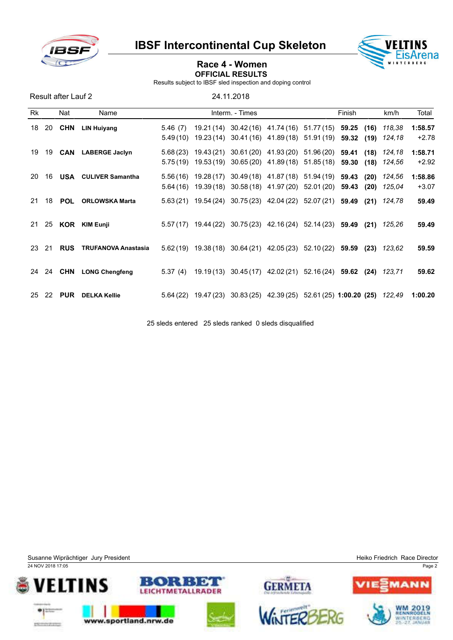

IBSF Intercontinental Cup Skeleton



## Race 4 - Women OFFICIAL RESULTS

Results subject to IBSF sled inspection and doping control

| Result after Lauf 2 |    |            |                             |                     |                 |                                                                                                                           |            |                |              |                  |                    |
|---------------------|----|------------|-----------------------------|---------------------|-----------------|---------------------------------------------------------------------------------------------------------------------------|------------|----------------|--------------|------------------|--------------------|
| Rk                  |    | Nat        | Name                        |                     | Interm. - Times |                                                                                                                           |            | Finish         |              | km/h             | Total              |
| 18                  | 20 | <b>CHN</b> | <b>LIN Huiyang</b>          | 5.46(7)<br>5.49(10) |                 | 19.21 (14) 30.42 (16) 41.74 (16) 51.77 (15)<br>19.23 (14) 30.41 (16) 41.89 (18) 51.91 (19)                                |            | 59.25<br>59.32 | (16)<br>(19) | 118,38<br>124.18 | 1:58.57<br>$+2.78$ |
| 19                  | 19 |            | <b>CAN</b> LABERGE Jaclyn   | 5.75(19)            |                 | 5.68 (23) 19.43 (21) 30.61 (20) 41.93 (20) 51.96 (20) 59.41<br>19.53 (19) 30.65 (20) 41.89 (18)                           | 51.85 (18) | 59.30          | (18)<br>(18) | 124.18<br>124.56 | 1:58.71<br>$+2.92$ |
| 20                  | 16 |            | <b>USA</b> CULIVER Samantha |                     |                 | 5.56 (16) 19.28 (17) 30.49 (18) 41.87 (18) 51.94 (19) 59.43<br>$5.64(16)$ $19.39(18)$ $30.58(18)$ $41.97(20)$ $52.01(20)$ |            | 59.43          | (20)<br>(20) | 124,56<br>125.04 | 1:58.86<br>$+3.07$ |
| 21                  | 18 | <b>POL</b> | <b>ORLOWSKA Marta</b>       |                     |                 | 5.63 (21) 19.54 (24) 30.75 (23) 42.04 (22) 52.07 (21)                                                                     |            | 59.49          | (21)         | 124.78           | 59.49              |
| 21                  | 25 | KOR        | <b>KIM Eunji</b>            |                     |                 | 5.57 (17) 19.44 (22) 30.75 (23) 42.16 (24) 52.14 (23) 59.49                                                               |            |                | (21)         | 125,26           | 59.49              |
| 23                  | 21 | <b>RUS</b> | <b>TRUFANOVA Anastasia</b>  |                     |                 | $5.62(19)$ $19.38(18)$ $30.64(21)$ $42.05(23)$ $52.10(22)$ <b>59.59</b>                                                   |            |                | (23)         | 123.62           | 59.59              |
| 24                  | 24 | CHN        | <b>LONG Chengfeng</b>       | 5.37(4)             |                 | 19.19 (13) 30.45 (17) 42.02 (21) 52.16 (24) 59.62                                                                         |            |                |              | $(24)$ 123,71    | 59.62              |
| 25                  | 22 | <b>PUR</b> | <b>DELKA Kellie</b>         |                     |                 | $5.64(22)$ 19.47(23) 30.83(25) 42.39(25) 52.61(25) 1:00.20(25)                                                            |            |                |              | 122.49           | 1:00.20            |

25 sleds entered 25 sleds ranked 0 sleds disqualified

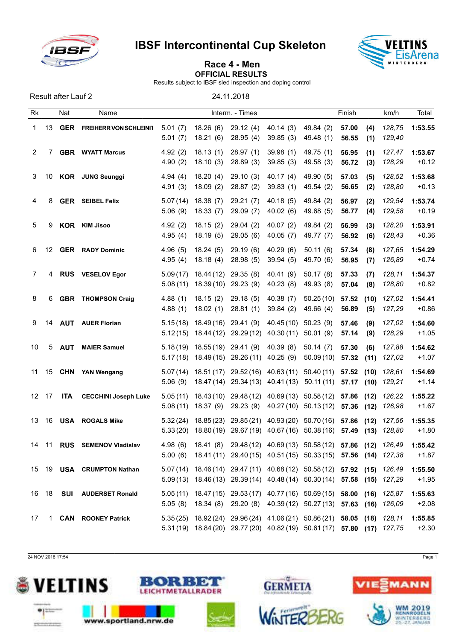

Result after Lauf 2 24.11.2018

IBSF Intercontinental Cup Skeleton



## Race 4 - Men OFFICIAL RESULTS

Results subject to IBSF sled inspection and doping control

Rk Nat Name **Interm.** - Times **Finish km/h Total** 1 13 GER FREIHERR VON SCHLEINIT 5.01 (7) 18.26 (6) 29.12 (4) 40.14 (3) 49.84 (2) 57.00 (4) 128,75 1:53.55 5.01 (7) 18.21 (6) 28.95 (4) 39.85 (3) 49.48 (1) 56.55 (1) *129,40* 2 7 GBR WYATT Marcus 4.92 (2) 18.13 (1) 28.97 (1) 39.98 (1) 49.75 (1) 56.95 (1) *127,47* 1:53.67 4.90 (2) 18.10 (3) 28.89 (3) 39.85 (3) 49.58 (3) 56.72 (3) *128,29* +0.12 3 10 KOR JUNG Seunggi 4.94 (4) 18.20 (4) 29.10 (3) 40.17 (4) 49.90 (5) 57.03 (5) *128,52* 1:53.68 4.91 (3) 18.09 (2) 28.87 (2) 39.83 (1) 49.54 (2) 56.65 (2) *128,80* +0.13 4 8 GER SEIBEL Felix 5.07 (14) 18.38 (7) 29.21 (7) 40.18 (5) 49.84 (2) 56.97 (2) *129,54* 1:53.74 5.06 (9) 18.33 (7) 29.09 (7) 40.02 (6) 49.68 (5) 56.77 (4) *129,58* +0.19 5 9 KOR KIM Jisoo 4.92 (2) 18.15 (2) 29.04 (2) 40.07 (2) 49.84 (2) 56.99 (3) *128,20* 1:53.91 4.95 (4) 18.19 (5) 29.05 (6) 40.05 (7) 49.77 (7) 56.92 (6) *128,43* +0.36 6 12 GER RADY Dominic 4.96 (5) 18.24 (5) 29.19 (6) 40.29 (6) 50.11 (6) 57.34 (8) *127,65* 1:54.29 4.95 (4) 18.18 (4) 28.98 (5) 39.94 (5) 49.70 (6) 56.95 (7) *126,89* +0.74 7 4 RUS VESELOV Egor 5.09 (17) 18.44 (12) 29.35 (8) 40.41 (9) 50.17 (8) 57.33 (7) *128,11* 1:54.37 5.08 (11) 18.39 (10) 29.23 (9) 40.23 (8) 49.93 (8) 57.04 (8) *128,80* +0.82 8 6 GBR THOMPSON Craig 4.88 (1) 18.15 (2) 29.18 (5) 40.38 (7) 50.25 (10) 57.52 (10) *127,02* 1:54.41 4.88 (1) 18.02 (1) 28.81 (1) 39.84 (2) 49.66 (4) 56.89 (5) *127,29* +0.86 9 14 AUT AUER Florian 5.15 (18) 18.49 (16) 29.41 (9) 40.45 (10) 50.23 (9) 57.46 (9) *127,02* 1:54.60 5.12 (15) 18.44 (12) 29.29 (12) 40.30 (11) 50.01 (9) 57.14 (9) *128,29* +1.05 10 5 AUT MAIER Samuel 5.18 (19) 18.55 (19) 29.41 (9) 40.39 (8) 50.14 (7) 57.30 (6) *127,88* 1:54.62 5.17 (18) 18.49 (15) 29.26 (11) 40.25 (9) 50.09 (10) 57.32 (11) *127,02* +1.07 11 15 CHN YAN Wengang 5.07 (14) 18.51 (17) 29.52 (16) 40.63 (11) 50.40 (11) 57.52 (10) *128,61* 1:54.69 5.06 (9) 18.47 (14) 29.34 (13) 40.41 (13) 50.11 (11) 57.17 (10) *129,21* +1.14 12 17 ITA CECCHINI Joseph Luke 5.05 (11) 18.43 (10) 29.48 (12) 40.69 (13) 50.58 (12) 57.86 (12) *126,22* 1:55.22 5.08 (11) 18.37 (9) 29.23 (9) 40.27 (10) 50.13 (12) 57.36 (12) *126,98* +1.67 13 16 USA ROGALS Mike 5.32 (24) 18.85 (23) 29.85 (21) 40.93 (20) 50.70 (16) 57.86 (12) *127,56* 1:55.35 5.33 (20) 18.80 (19) 29.67 (19) 40.67 (16) 50.38 (16) 57.49 (13) *128,80* +1.80 14 11 RUS SEMENOV Vladislav 4.98 (6) 18.41 (8) 29.48 (12) 40.69 (13) 50.58 (12) 57.86 (12) *126,49* 1:55.42 5.00 (6) 18.41 (11) 29.40 (15) 40.51 (15) 50.33 (15) 57.56 (14) *127,38* +1.87 15 19 USA CRUMPTON Nathan 5.07 (14) 18.46 (14) 29.47 (11) 40.68 (12) 50.58 (12) 57.92 (15) *126,49* 1:55.50 5.09 (13) 18.46 (13) 29.39 (14) 40.48 (14) 50.30 (14) 57.58 (15) *127,29* +1.95 16 18 SUI AUDERSET Ronald 5.05 (11) 18.47 (15) 29.53 (17) 40.77 (16) 50.69 (15) 58.00 (16) *125,87* 1:55.63 5.05 (8) 18.34 (8) 29.20 (8) 40.39 (12) 50.27 (13) 57.63 (16) *126,09* +2.08 17 1 CAN ROONEY Patrick 5.35 (25) 18.92 (24) 29.96 (24) 41.06 (21) 50.86 (21) 58.05 (18) *128,11* 1:55.85 5.31 (19) 18.84 (20) 29.77 (20) 40.82 (19) 50.61 (17) 57.80 (17) *127,75* +2.30

24 NOV 2018 17:54 Page 1





м DW





**GERMETA**